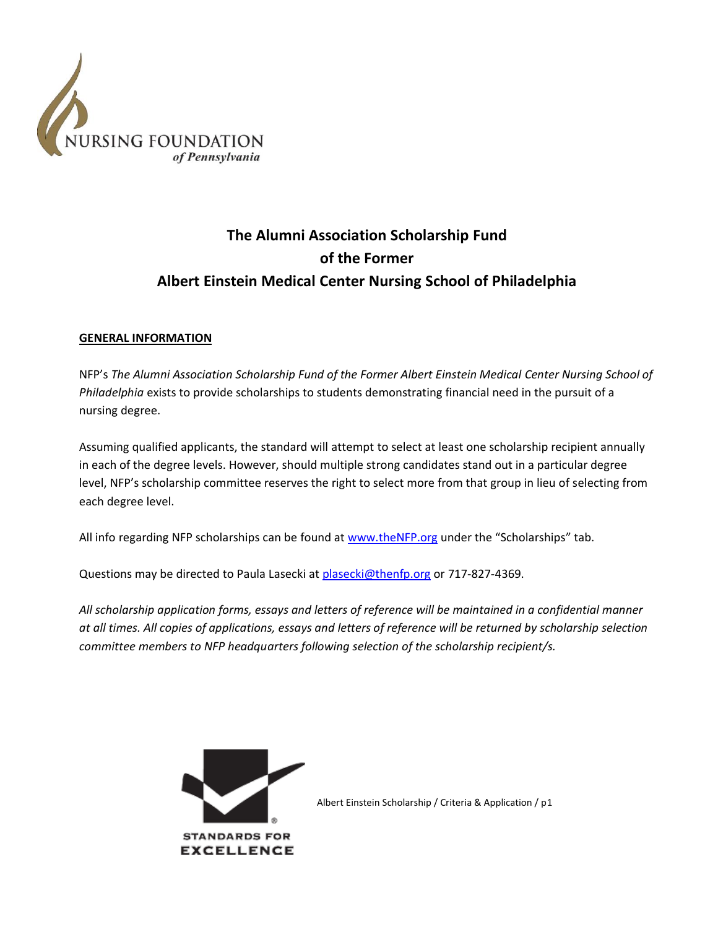

# **The Alumni Association Scholarship Fund of the Former Albert Einstein Medical Center Nursing School of Philadelphia**

## **GENERAL INFORMATION**

NFP's *The Alumni Association Scholarship Fund of the Former Albert Einstein Medical Center Nursing School of Philadelphia* exists to provide scholarships to students demonstrating financial need in the pursuit of a nursing degree.

Assuming qualified applicants, the standard will attempt to select at least one scholarship recipient annually in each of the degree levels. However, should multiple strong candidates stand out in a particular degree level, NFP's scholarship committee reserves the right to select more from that group in lieu of selecting from each degree level.

All info regarding NFP scholarships can be found a[t www.theNFP.org](http://www.thenfp.org/) under the "Scholarships" tab.

Questions may be directed to Paula Lasecki a[t plasecki@thenfp.org](mailto:plasecki@thenfp.org) or 717-827-4369.

*All scholarship application forms, essays and letters of reference will be maintained in a confidential manner at all times. All copies of applications, essays and letters of reference will be returned by scholarship selection committee members to NFP headquarters following selection of the scholarship recipient/s.*



**EXCELLENCE**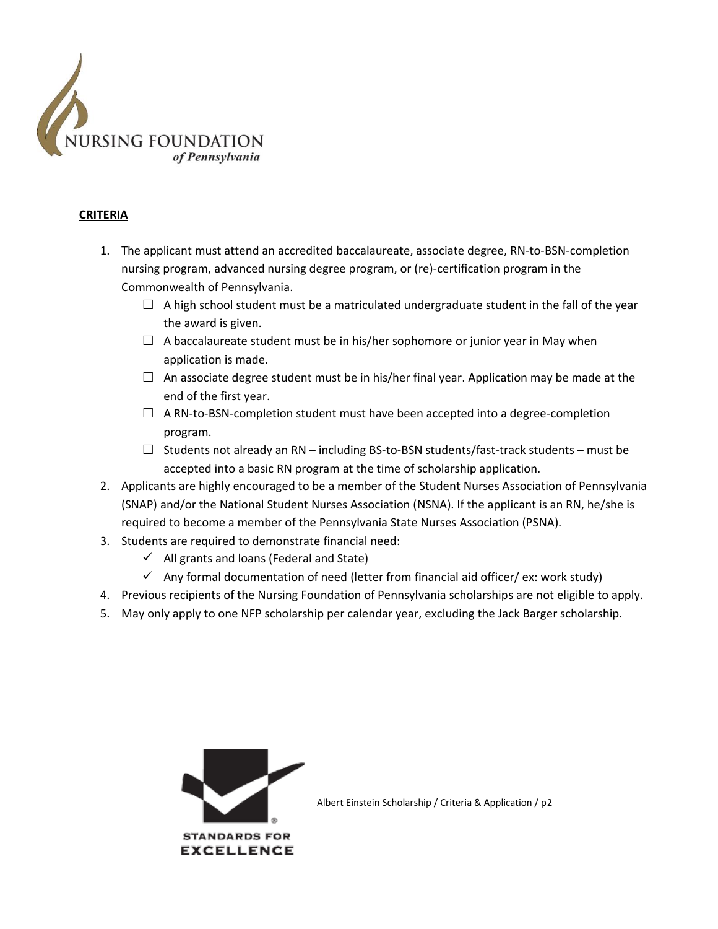

## **CRITERIA**

- 1. The applicant must attend an accredited baccalaureate, associate degree, RN-to-BSN-completion nursing program, advanced nursing degree program, or (re)-certification program in the Commonwealth of Pennsylvania.
	- $\Box$  A high school student must be a matriculated undergraduate student in the fall of the year the award is given.
	- $\Box$  A baccalaureate student must be in his/her sophomore or junior year in May when application is made.
	- $\Box$  An associate degree student must be in his/her final year. Application may be made at the end of the first year.
	- $\Box$  A RN-to-BSN-completion student must have been accepted into a degree-completion program.
	- $\Box$  Students not already an RN including BS-to-BSN students/fast-track students must be accepted into a basic RN program at the time of scholarship application.
- 2. Applicants are highly encouraged to be a member of the Student Nurses Association of Pennsylvania (SNAP) and/or the National Student Nurses Association (NSNA). If the applicant is an RN, he/she is required to become a member of the Pennsylvania State Nurses Association (PSNA).
- 3. Students are required to demonstrate financial need:
	- $\checkmark$  All grants and loans (Federal and State)
	- $\checkmark$  Any formal documentation of need (letter from financial aid officer/ ex: work study)
- 4. Previous recipients of the Nursing Foundation of Pennsylvania scholarships are not eligible to apply.
- 5. May only apply to one NFP scholarship per calendar year, excluding the Jack Barger scholarship.

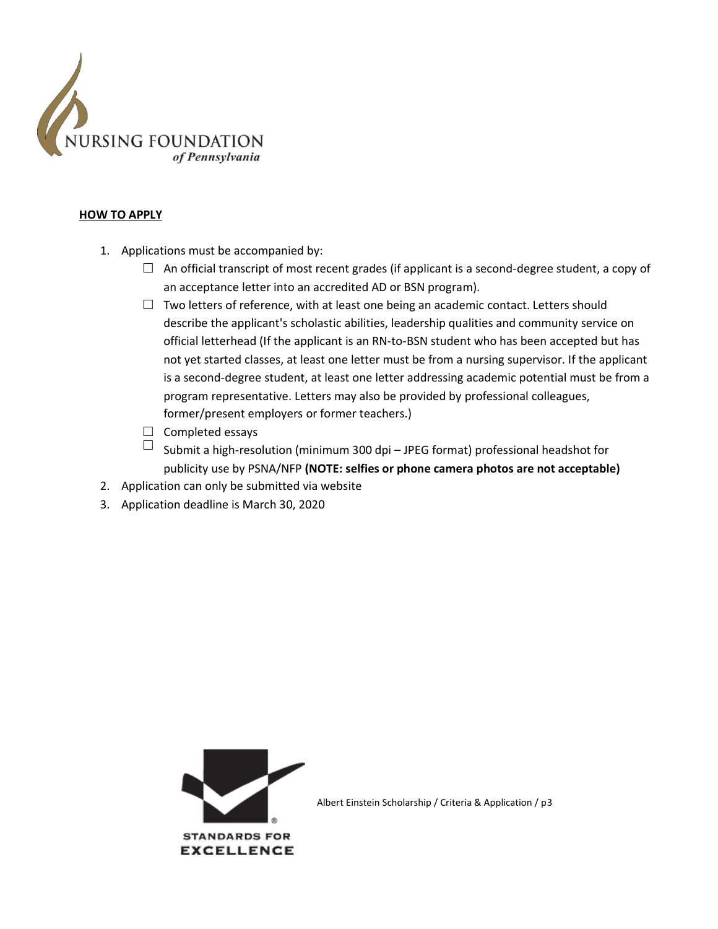

#### **HOW TO APPLY**

- 1. Applications must be accompanied by:
	- $\Box$  An official transcript of most recent grades (if applicant is a second-degree student, a copy of an acceptance letter into an accredited AD or BSN program).
	- $\Box$  Two letters of reference, with at least one being an academic contact. Letters should describe the applicant's scholastic abilities, leadership qualities and community service on official letterhead (If the applicant is an RN-to-BSN student who has been accepted but has not yet started classes, at least one letter must be from a nursing supervisor. If the applicant is a second-degree student, at least one letter addressing academic potential must be from a program representative. Letters may also be provided by professional colleagues, former/present employers or former teachers.)
	- $\Box$  Completed essays
	- $\Box$  Submit a high-resolution (minimum 300 dpi JPEG format) professional headshot for publicity use by PSNA/NFP **(NOTE: selfies or phone camera photos are not acceptable)**
- 2. Application can only be submitted via website
- 3. Application deadline is March 30, 2020

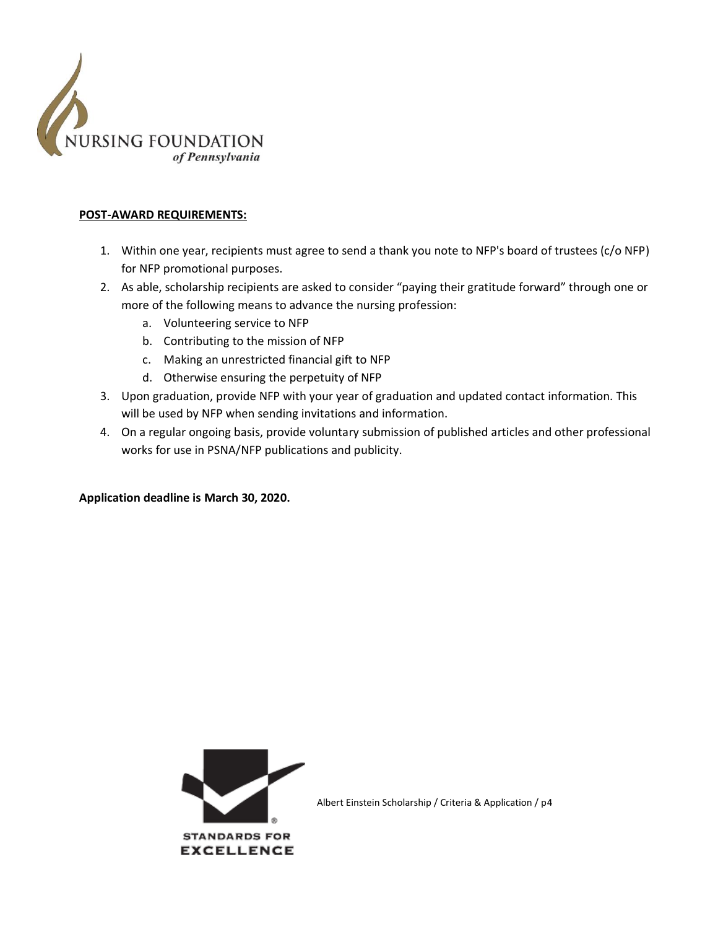

### **POST-AWARD REQUIREMENTS:**

- 1. Within one year, recipients must agree to send a thank you note to NFP's board of trustees (c/o NFP) for NFP promotional purposes.
- 2. As able, scholarship recipients are asked to consider "paying their gratitude forward" through one or more of the following means to advance the nursing profession:
	- a. Volunteering service to NFP
	- b. Contributing to the mission of NFP
	- c. Making an unrestricted financial gift to NFP
	- d. Otherwise ensuring the perpetuity of NFP
- 3. Upon graduation, provide NFP with your year of graduation and updated contact information. This will be used by NFP when sending invitations and information.
- 4. On a regular ongoing basis, provide voluntary submission of published articles and other professional works for use in PSNA/NFP publications and publicity.

**Application deadline is March 30, 2020.**